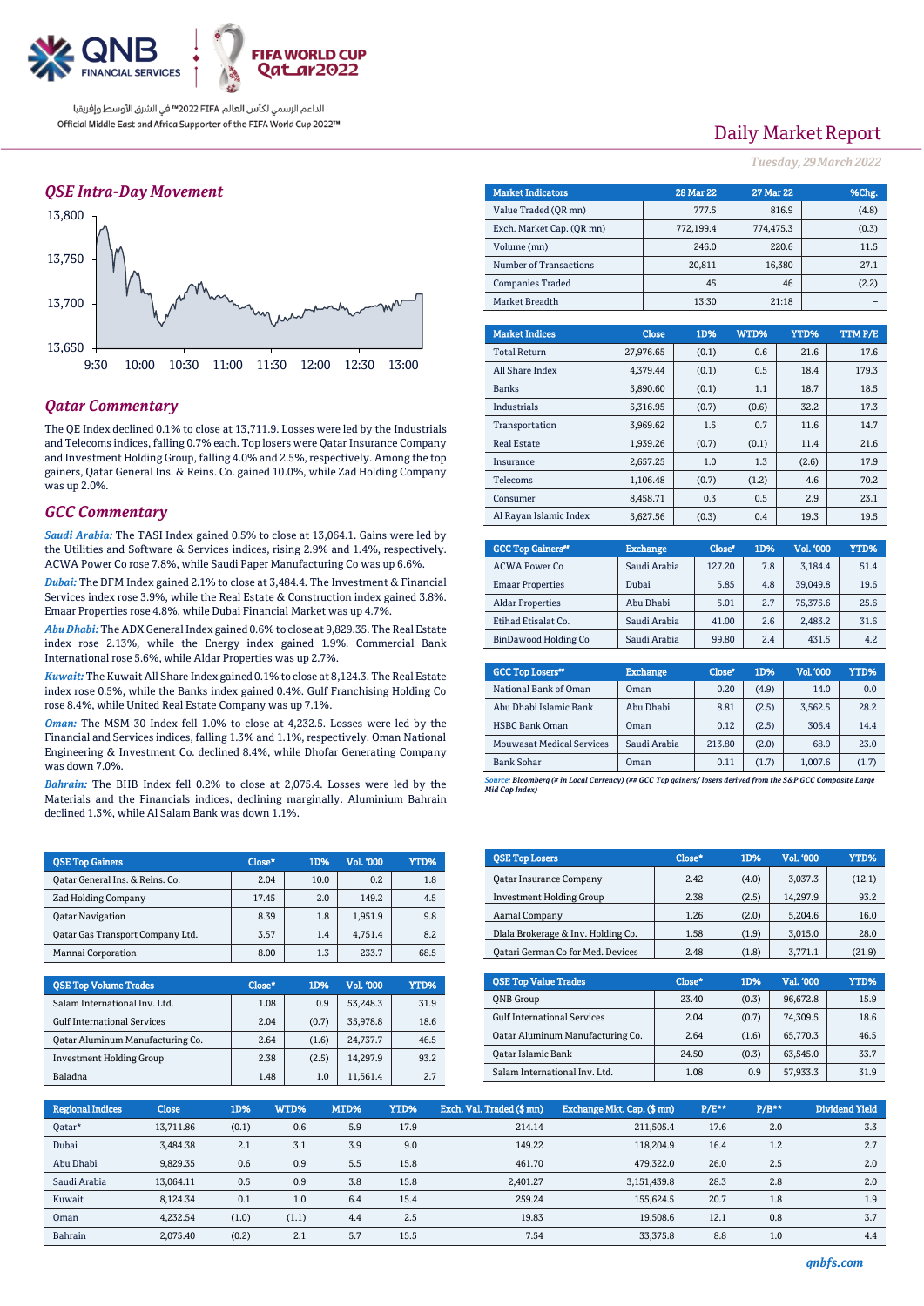

### *QSE Intra-Day Movement*



### *Qatar Commentary*

The QE Index declined 0.1% to close at 13,711.9. Losses were led by the Industrials and Telecoms indices, falling 0.7% each. Top losers were Qatar Insurance Company and Investment Holding Group, falling 4.0% and 2.5%, respectively. Among the top gainers, Qatar General Ins. & Reins. Co. gained 10.0%, while Zad Holding Company was up 2.0%.

### *GCC Commentary*

*Saudi Arabia:* The TASI Index gained 0.5% to close at 13,064.1. Gains were led by the Utilities and Software & Services indices, rising 2.9% and 1.4%, respectively. ACWA Power Co rose 7.8%, while Saudi Paper Manufacturing Co was up 6.6%.

*Dubai:* The DFM Index gained 2.1% to close at 3,484.4. The Investment & Financial Services index rose 3.9%, while the Real Estate & Construction index gained 3.8%. Emaar Properties rose 4.8%, while Dubai Financial Market was up 4.7%.

*Abu Dhabi:*The ADX General Index gained 0.6% to close at 9,829.35. The Real Estate index rose 2.13%, while the Energy index gained 1.9%. Commercial Bank International rose 5.6%, while Aldar Properties was up 2.7%.

*Kuwait:* The Kuwait All Share Index gained 0.1% to close at 8,124.3. The Real Estate index rose 0.5%, while the Banks index gained 0.4%. Gulf Franchising Holding Co rose 8.4%, while United Real Estate Company was up 7.1%.

*Oman:* The MSM 30 Index fell 1.0% to close at 4,232.5. Losses were led by the Financial and Services indices, falling 1.3% and 1.1%, respectively. Oman National Engineering & Investment Co. declined 8.4%, while Dhofar Generating Company was down 7.0%.

*Bahrain:* The BHB Index fell 0.2% to close at 2,075.4. Losses were led by the Materials and the Financials indices, declining marginally. Aluminium Bahrain declined 1.3%, while Al Salam Bank was down 1.1%.

| <b>OSE Top Gainers</b>           | Close* | 1D%  | Vol. '000 | YTD% |
|----------------------------------|--------|------|-----------|------|
| Oatar General Ins. & Reins. Co.  | 2.04   | 10.0 | 0.2       | 1.8  |
| <b>Zad Holding Company</b>       | 17.45  | 2.0  | 149.2     | 4.5  |
| <b>Oatar Navigation</b>          | 8.39   | 1.8  | 1.951.9   | 9.8  |
| Oatar Gas Transport Company Ltd. | 3.57   | 1.4  | 4.751.4   | 8.2  |
| Mannai Corporation               | 8.00   | 1.3  | 233.7     | 68.5 |

| <b>QSE Top Volume Trades</b>       | Close* | 1D%   | Vol. '000 | YTD% |
|------------------------------------|--------|-------|-----------|------|
| Salam International Inv. Ltd.      | 1.08   | 0.9   | 53.248.3  | 31.9 |
| <b>Gulf International Services</b> | 2.04   | (0.7) | 35.978.8  | 18.6 |
| Oatar Aluminum Manufacturing Co.   | 2.64   | (1.6) | 24.737.7  | 46.5 |
| <b>Investment Holding Group</b>    | 2.38   | (2.5) | 14.297.9  | 93.2 |
| Baladna                            | 1.48   | 1.0   | 11.561.4  | 2.7  |

# Daily Market Report

*Tuesday, 29March2022*

| <b>Market Indicators</b>  |              | <b>28 Mar 22</b> | <b>27 Mar 22</b> |        |       | %Chg.  |
|---------------------------|--------------|------------------|------------------|--------|-------|--------|
| Value Traded (OR mn)      |              | 777.5            |                  | 816.9  |       | (4.8)  |
| Exch. Market Cap. (QR mn) |              | 772,199.4        | 774,475.3        |        | (0.3) |        |
| Volume (mn)               |              | 246.0            |                  | 220.6  | 11.5  |        |
| Number of Transactions    |              | 20,811           |                  | 16,380 | 27.1  |        |
| <b>Companies Traded</b>   |              | 45               |                  | 46     | (2.2) |        |
| Market Breadth            | 13:30        |                  | 21:18            |        |       |        |
|                           |              |                  |                  |        |       |        |
| <b>Market Indices</b>     | <b>Close</b> | 1D%              | WTD%             | YTD%   |       | TTMP/E |
| <b>Total Return</b>       | 27,976.65    | (0.1)            | 0.6              | 21.6   |       | 17.6   |
| All Share Index           | 4,379.44     | (0.1)            | 0.5              | 18.4   |       | 179.3  |
| <b>Banks</b>              | 5,890.60     | (0.1)            | 1.1              | 18.7   |       | 18.5   |
| Industrials               | 5,316.95     | (0.7)            | (0.6)            | 32.2   |       | 17.3   |

| Transportation         | 3.969.62 | 1.5   | 0.7   | 11.6  | 14.7 |
|------------------------|----------|-------|-------|-------|------|
| <b>Real Estate</b>     | 1,939.26 | (0.7) | (0.1) | 11.4  | 21.6 |
| Insurance              | 2,657.25 | 1.0   | 1.3   | (2.6) | 17.9 |
| Telecoms               | 1,106.48 | (0.7) | (1.2) | 4.6   | 70.2 |
| Consumer               | 8.458.71 | 0.3   | 0.5   | 2.9   | 23.1 |
| Al Ravan Islamic Index | 5.627.56 | (0.3) | 0.4   | 19.3  | 19.5 |

| <b>GCC Top Gainers"</b> | <b>Exchange</b> | Close* | 1D% | Vol. '000 | YTD% |
|-------------------------|-----------------|--------|-----|-----------|------|
| <b>ACWA Power Co</b>    | Saudi Arabia    | 127.20 | 7.8 | 3.184.4   | 51.4 |
| <b>Emaar Properties</b> | Dubai           | 5.85   | 4.8 | 39.049.8  | 19.6 |
| <b>Aldar Properties</b> | Abu Dhabi       | 5.01   | 2.7 | 75,375.6  | 25.6 |
| Etihad Etisalat Co.     | Saudi Arabia    | 41.00  | 2.6 | 2.483.2   | 31.6 |
| BinDawood Holding Co    | Saudi Arabia    | 99.80  | 2.4 | 431.5     | 4.2  |

| <b>GCC Top Losers</b> "          | <b>Exchange</b> | Close <sup>®</sup> | 1D%   | Vol. '000 | YTD%  |
|----------------------------------|-----------------|--------------------|-------|-----------|-------|
| National Bank of Oman            | Oman            | 0.20               | (4.9) | 14.0      | 0.0   |
| Abu Dhabi Islamic Bank           | Abu Dhabi       | 8.81               | (2.5) | 3.562.5   | 28.2  |
| <b>HSBC Bank Oman</b>            | Oman            | 0.12               | (2.5) | 306.4     | 14.4  |
| <b>Mouwasat Medical Services</b> | Saudi Arabia    | 213.80             | (2.0) | 68.9      | 23.0  |
| <b>Bank Sohar</b>                | Oman            | 0.11               | (1.7) | 1,007.6   | (1.7) |

*Source: Bloomberg (# in Local Currency) (## GCC Top gainers/ losers derived from the S&P GCC Composite Large Mid Cap Index)*

| <b>OSE Top Losers</b>              | Close* | 1D%   | <b>Vol. '000</b> | YTD%   |
|------------------------------------|--------|-------|------------------|--------|
| <b>Qatar Insurance Company</b>     | 2.42   | (4.0) | 3.037.3          | (12.1) |
| <b>Investment Holding Group</b>    | 2.38   | (2.5) | 14.297.9         | 93.2   |
| Aamal Company                      | 1.26   | (2.0) | 5.204.6          | 16.0   |
| Dlala Brokerage & Inv. Holding Co. | 1.58   | (1.9) | 3,015.0          | 28.0   |
| Qatari German Co for Med. Devices  | 2.48   | (1.8) | 3.771.1          | (21.9) |

| <b>OSE Top Value Trades</b>        | Close* | 1D%   | Val. '000 | YTD% |
|------------------------------------|--------|-------|-----------|------|
| <b>ONB</b> Group                   | 23.40  | (0.3) | 96.672.8  | 15.9 |
| <b>Gulf International Services</b> | 2.04   | (0.7) | 74.309.5  | 18.6 |
| Qatar Aluminum Manufacturing Co.   | 2.64   | (1.6) | 65,770.3  | 46.5 |
| Qatar Islamic Bank                 | 24.50  | (0.3) | 63,545.0  | 33.7 |
| Salam International Inv. Ltd.      | 1.08   | 0.9   | 57.933.3  | 31.9 |

| <b>Regional Indices</b> | <b>Close</b> | 1D%   | WTD%  | MTD% | <b>YTD%</b> | Exch. Val. Traded (\$ mn) | Exchange Mkt. Cap. (\$mn) | $P/E***$ | $P/B**$ | <b>Dividend Yield</b> |
|-------------------------|--------------|-------|-------|------|-------------|---------------------------|---------------------------|----------|---------|-----------------------|
| Oatar*                  | 13.711.86    | (0.1) | 0.6   | 5.9  | 17.9        | 214.14                    | 211.505.4                 | 17.6     | 2.0     | 3.3                   |
| Dubai                   | 3.484.38     | 2.1   | 3.1   | 3.9  | 9.0         | 149.22                    | 118,204.9                 | 16.4     | 1.2     | 2.7                   |
| Abu Dhabi               | 9,829.35     | 0.6   | 0.9   | 5.5  | 15.8        | 461.70                    | 479.322.0                 | 26.0     | 2.5     | 2.0                   |
| Saudi Arabia            | 13.064.11    | 0.5   | 0.9   | 3.8  | 15.8        | 2.401.27                  | 3.151.439.8               | 28.3     | 2.8     | 2.0                   |
| Kuwait                  | 8.124.34     | 0.1   | 1.0   | 6.4  | 15.4        | 259.24                    | 155.624.5                 | 20.7     | 1.8     | 1.9                   |
| Oman                    | 4,232.54     | (1.0) | (1.1) | 4.4  | 2.5         | 19.83                     | 19.508.6                  | 12.1     | 0.8     | 3.7                   |
| Bahrain                 | 2.075.40     | (0.2) | 2.1   | 5.7  | 15.5        | 7.54                      | 33, 375.8                 | 8.8      | 1.0     | 4.4                   |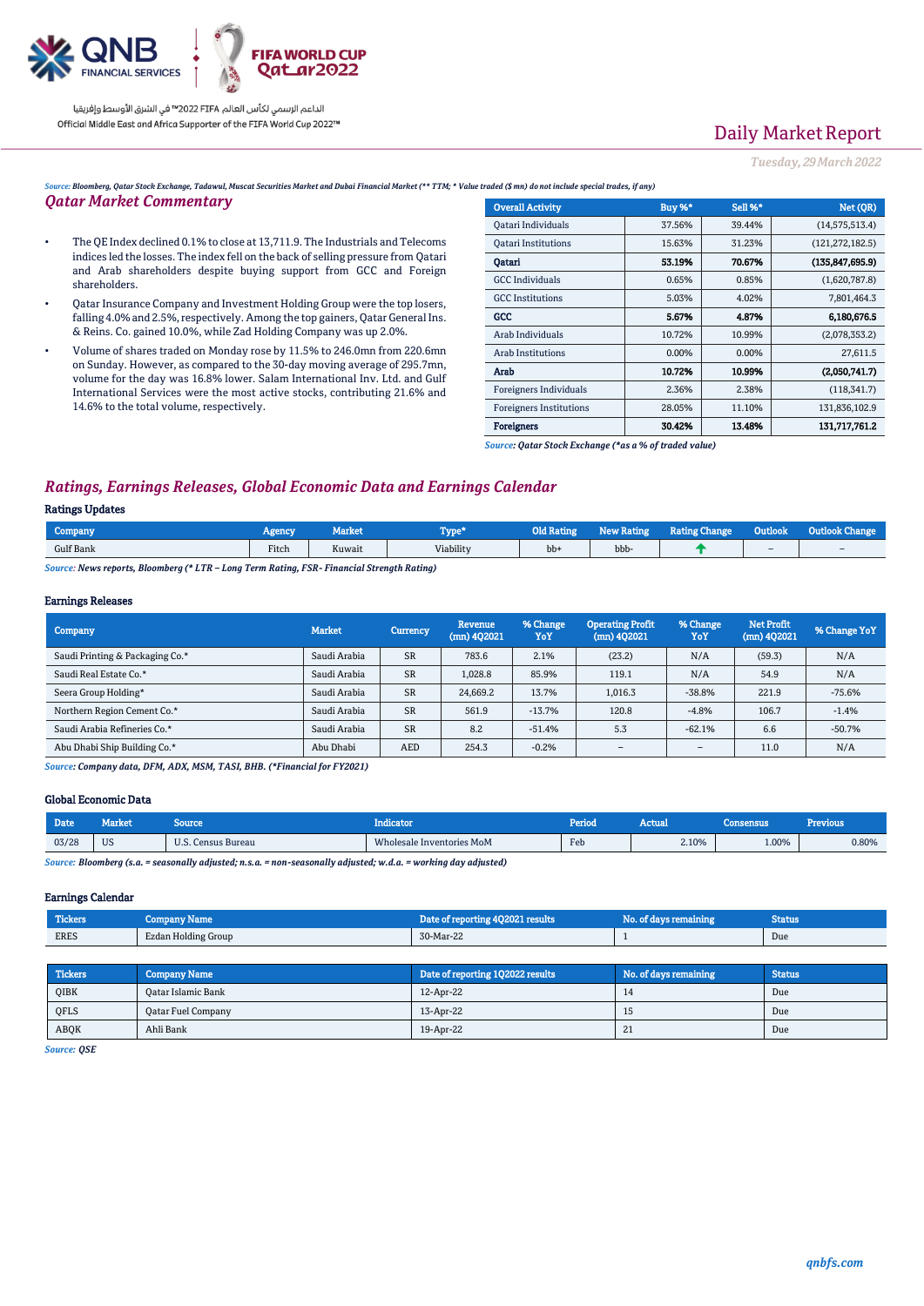

# Daily Market Report

*Tuesday, 29March2022*

*Source: Bloomberg, Qatar Stock Exchange, Tadawul, Muscat Securities Market and Dubai Financial Market (\*\* TTM; \* Value traded (\$ mn) do not include special trades, if any)*

## *Qatar Market Commentary*

- The QE Index declined 0.1% to close at 13,711.9. The Industrials and Telecoms indices led the losses. The index fell on the back of selling pressure from Qatari and Arab shareholders despite buying support from GCC and Foreign shareholders.
- Qatar Insurance Company and Investment Holding Group were the top losers, falling 4.0% and 2.5%, respectively. Among the top gainers, Qatar General Ins. & Reins. Co. gained 10.0%, while Zad Holding Company was up 2.0%.
- Volume of shares traded on Monday rose by 11.5% to 246.0mn from 220.6mn on Sunday. However, as compared to the 30-day moving average of 295.7mn, volume for the day was 16.8% lower. Salam International Inv. Ltd. and Gulf International Services were the most active stocks, contributing 21.6% and 14.6% to the total volume, respectively.

| <b>Overall Activity</b>        | Buy %* | Sell %* | Net (QR)          |
|--------------------------------|--------|---------|-------------------|
| Qatari Individuals             | 37.56% | 39.44%  | (14, 575, 513.4)  |
| <b>Oatari Institutions</b>     | 15.63% | 31.23%  | (121, 272, 182.5) |
| Oatari                         | 53.19% | 70.67%  | (135.847.695.9)   |
| <b>GCC</b> Individuals         | 0.65%  | 0.85%   | (1,620,787.8)     |
| <b>GCC</b> Institutions        | 5.03%  | 4.02%   | 7,801,464.3       |
| GCC                            | 5.67%  | 4.87%   | 6.180.676.5       |
| Arab Individuals               | 10.72% | 10.99%  | (2,078,353.2)     |
| Arab Institutions              | 0.00%  | 0.00%   | 27,611.5          |
| Arab                           | 10.72% | 10.99%  | (2,050,741.7)     |
| Foreigners Individuals         | 2.36%  | 2.38%   | (118, 341.7)      |
| <b>Foreigners Institutions</b> | 28.05% | 11.10%  | 131,836,102.9     |
| Foreigners                     | 30.42% | 13.48%  | 131,717,761.2     |

*Source: Qatar Stock Exchange (\*as a % of traded value)*

## *Ratings, Earnings Releases, Global Economic Data and Earnings Calendar*

#### Ratings Updates

| Company<br>Agency         | <u>иаткет</u>  | l'ype*    | <b>Old Rating</b> | w Rating<br>Net | <b>Rating Change</b> | Outlook'                 |   |
|---------------------------|----------------|-----------|-------------------|-----------------|----------------------|--------------------------|---|
| Fitch<br><b>Gulf Bank</b> | $-1$<br>Kuwait | Viability | bb+               | bbb-            |                      | $\overline{\phantom{a}}$ | - |

*Source: News reports, Bloomberg (\* LTR – Long Term Rating, FSR- Financial Strength Rating)*

#### Earnings Releases

| Company                         | <b>Market</b> | Currency   | Revenue<br>$(mn)$ 402021 | % Change<br>YoY | <b>Operating Profit</b><br>$(mn)$ 402021 | % Change<br>YoY          | <b>Net Profit</b><br>$(mn)$ 402021 | % Change YoY |
|---------------------------------|---------------|------------|--------------------------|-----------------|------------------------------------------|--------------------------|------------------------------------|--------------|
| Saudi Printing & Packaging Co.* | Saudi Arabia  | <b>SR</b>  | 783.6                    | 2.1%            | (23.2)                                   | N/A                      | (59.3)                             | N/A          |
| Saudi Real Estate Co.*          | Saudi Arabia  | <b>SR</b>  | 1.028.8                  | 85.9%           | 119.1                                    | N/A                      | 54.9                               | N/A          |
| Seera Group Holding*            | Saudi Arabia  | <b>SR</b>  | 24.669.2                 | 13.7%           | 1.016.3                                  | $-38.8%$                 | 221.9                              | $-75.6%$     |
| Northern Region Cement Co.*     | Saudi Arabia  | <b>SR</b>  | 561.9                    | $-13.7%$        | 120.8                                    | $-4.8%$                  | 106.7                              | $-1.4%$      |
| Saudi Arabia Refineries Co.*    | Saudi Arabia  | <b>SR</b>  | 8.2                      | $-51.4%$        | 5.3                                      | $-62.1%$                 | 6.6                                | $-50.7%$     |
| Abu Dhabi Ship Building Co.*    | Abu Dhabi     | <b>AED</b> | 254.3                    | $-0.2%$         | $\overline{\phantom{a}}$                 | $\overline{\phantom{a}}$ | 11.0                               | N/A          |

*Source: Company data, DFM, ADX, MSM, TASI, BHB. (\*Financial for FY2021)*

#### Global Economic Data

| Date <sup>1</sup>                                                                                                                                                                                                                 | Market.           | Source        | ndicaton                  | <b>Period</b> | Actual | Consensus | <b>Previous</b> |
|-----------------------------------------------------------------------------------------------------------------------------------------------------------------------------------------------------------------------------------|-------------------|---------------|---------------------------|---------------|--------|-----------|-----------------|
| 03/28                                                                                                                                                                                                                             | <b>TTC</b><br>US. | Census Bureau | Wholesale Inventories MoM | Feb           | 2.10%  | L.00%     | 0.80%           |
| $\alpha$ . The contract of the contract of the set of the contract of the set of the set of the set of the set of the set of the set of the set of the set of the set of the set of the set of the set of the set of the set of t |                   |               |                           |               |        |           |                 |

*Source: Bloomberg (s.a. = seasonally adjusted; n.s.a. = non-seasonally adjusted; w.d.a. = working day adjusted)*

#### Earnings Calendar

| Tickers <sup>1</sup> | Company Name        | Date of reporting 4Q2021 results | No. of days remaining | Status |
|----------------------|---------------------|----------------------------------|-----------------------|--------|
| <b>ERES</b>          | Ezdan Holding Group | 30-Mar-22                        |                       | Due    |

| <b>Tickers</b> | <b>Company Name</b> | Date of reporting 1Q2022 results | No. of days remaining | <b>Status</b> |
|----------------|---------------------|----------------------------------|-----------------------|---------------|
| <b>OIBK</b>    | Oatar Islamic Bank  | 12-Apr-22                        | 14                    | Due           |
| QFLS           | Qatar Fuel Company  | 13-Apr-22                        | 15                    | Due           |
| ABOK           | Ahli Bank           | 19-Apr-22                        | $\angle L$            | Due           |

*Source: QSE*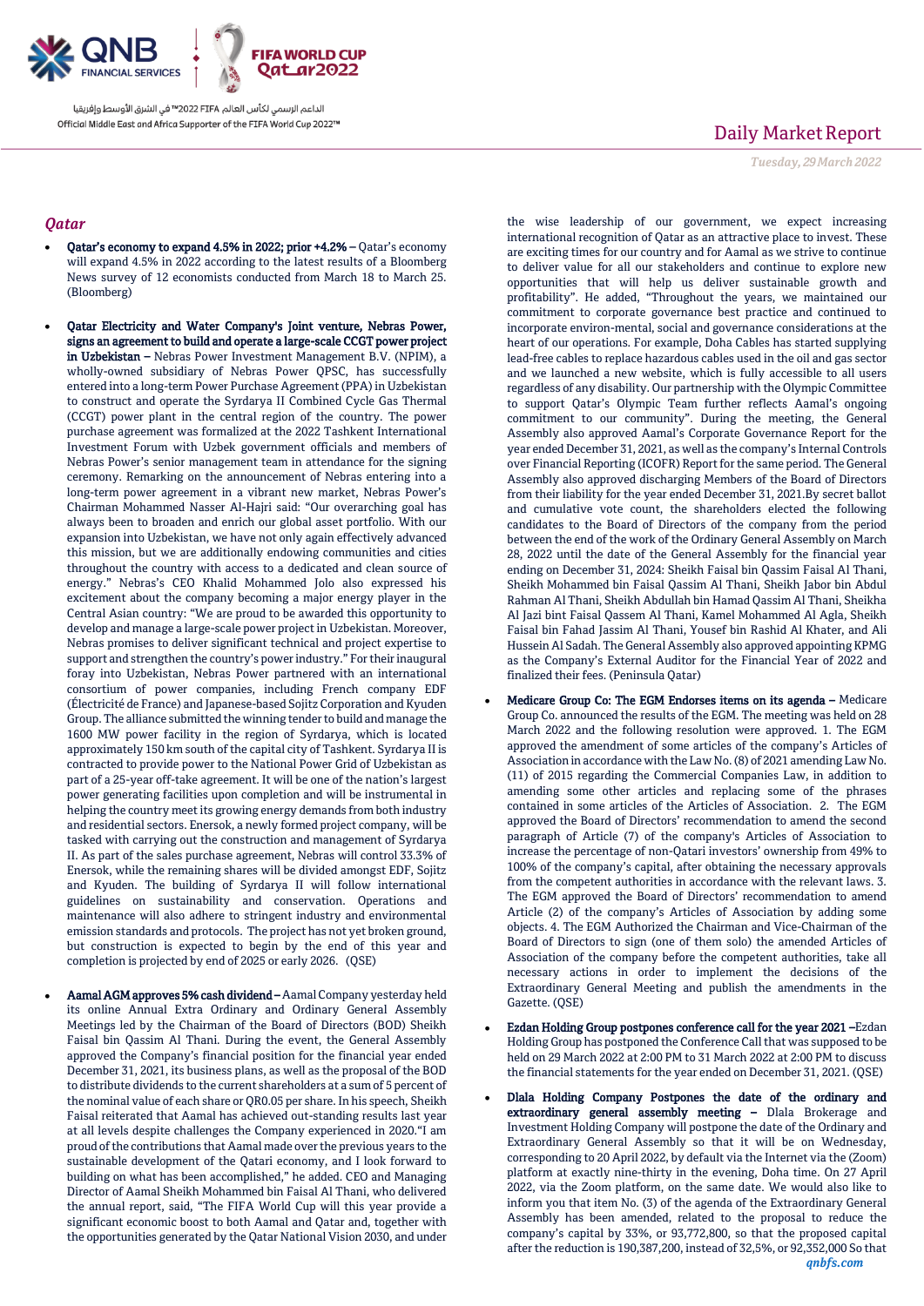

## *Qatar*

- Qatar's economy to expand 4.5% in 2022; prior +4.2% Qatar's economy will expand 4.5% in 2022 according to the latest results of a Bloomberg News survey of 12 economists conducted from March 18 to March 25. (Bloomberg)
- Qatar Electricity and Water Company's Joint venture, Nebras Power, signs an agreement to build and operate a large-scale CCGT power project in Uzbekistan - Nebras Power Investment Management B.V. (NPIM), a wholly-owned subsidiary of Nebras Power QPSC, has successfully entered into a long-term Power Purchase Agreement (PPA) in Uzbekistan to construct and operate the Syrdarya II Combined Cycle Gas Thermal (CCGT) power plant in the central region of the country. The power purchase agreement was formalized at the 2022 Tashkent International Investment Forum with Uzbek government officials and members of Nebras Power's senior management team in attendance for the signing ceremony. Remarking on the announcement of Nebras entering into a long-term power agreement in a vibrant new market, Nebras Power's Chairman Mohammed Nasser Al-Hajri said: "Our overarching goal has always been to broaden and enrich our global asset portfolio. With our expansion into Uzbekistan, we have not only again effectively advanced this mission, but we are additionally endowing communities and cities throughout the country with access to a dedicated and clean source of energy." Nebras's CEO Khalid Mohammed Jolo also expressed his excitement about the company becoming a major energy player in the Central Asian country: "We are proud to be awarded this opportunity to develop and manage a large-scale power project in Uzbekistan. Moreover, Nebras promises to deliver significant technical and project expertise to support and strengthen the country's power industry." For their inaugural foray into Uzbekistan, Nebras Power partnered with an international consortium of power companies, including French company EDF (Électricité de France) and Japanese-based Sojitz Corporation and Kyuden Group. The alliance submitted the winning tender to build and manage the 1600 MW power facility in the region of Syrdarya, which is located approximately 150 km south of the capital city of Tashkent. Syrdarya II is contracted to provide power to the National Power Grid of Uzbekistan as part of a 25-year off-take agreement. It will be one of the nation's largest power generating facilities upon completion and will be instrumental in helping the country meet its growing energy demands from both industry and residential sectors. Enersok, a newly formed project company, will be tasked with carrying out the construction and management of Syrdarya II. As part of the sales purchase agreement, Nebras will control 33.3% of Enersok, while the remaining shares will be divided amongst EDF, Sojitz and Kyuden. The building of Syrdarya II will follow international guidelines on sustainability and conservation. Operations and maintenance will also adhere to stringent industry and environmental emission standards and protocols. The project has not yet broken ground, but construction is expected to begin by the end of this year and completion is projected by end of 2025 or early 2026. (QSE)
	- Aamal AGM approves 5% cash dividend Aamal Company yesterday held its online Annual Extra Ordinary and Ordinary General Assembly Meetings led by the Chairman of the Board of Directors (BOD) Sheikh Faisal bin Qassim Al Thani. During the event, the General Assembly approved the Company's financial position for the financial year ended December 31, 2021, its business plans, as well as the proposal of the BOD to distribute dividends to the current shareholders at a sum of 5 percent of the nominal value of each share or QR0.05 per share. In his speech, Sheikh Faisal reiterated that Aamal has achieved out-standing results last year at all levels despite challenges the Company experienced in 2020."I am proud of the contributions that Aamal made over the previous years to the sustainable development of the Qatari economy, and I look forward to building on what has been accomplished," he added. CEO and Managing Director of Aamal Sheikh Mohammed bin Faisal Al Thani, who delivered the annual report, said, "The FIFA World Cup will this year provide a significant economic boost to both Aamal and Qatar and, together with the opportunities generated by the Qatar National Vision 2030, and under

# Daily Market Report

*Tuesday, 29March2022*

the wise leadership of our government, we expect increasing international recognition of Qatar as an attractive place to invest. These are exciting times for our country and for Aamal as we strive to continue to deliver value for all our stakeholders and continue to explore new opportunities that will help us deliver sustainable growth and profitability". He added, "Throughout the years, we maintained our commitment to corporate governance best practice and continued to incorporate environ-mental, social and governance considerations at the heart of our operations. For example, Doha Cables has started supplying lead-free cables to replace hazardous cables used in the oil and gas sector and we launched a new website, which is fully accessible to all users regardless of any disability. Our partnership with the Olympic Committee to support Qatar's Olympic Team further reflects Aamal's ongoing commitment to our community". During the meeting, the General Assembly also approved Aamal's Corporate Governance Report for the year ended December 31, 2021, as well as the company's Internal Controls over Financial Reporting (ICOFR) Report for the same period. The General Assembly also approved discharging Members of the Board of Directors from their liability for the year ended December 31, 2021.By secret ballot and cumulative vote count, the shareholders elected the following candidates to the Board of Directors of the company from the period between the end of the work of the Ordinary General Assembly on March 28, 2022 until the date of the General Assembly for the financial year ending on December 31, 2024: Sheikh Faisal bin Qassim Faisal Al Thani, Sheikh Mohammed bin Faisal Qassim Al Thani, Sheikh Jabor bin Abdul Rahman Al Thani, Sheikh Abdullah bin Hamad Qassim Al Thani, Sheikha Al Jazi bint Faisal Qassem Al Thani, Kamel Mohammed Al Agla, Sheikh Faisal bin Fahad Jassim Al Thani, Yousef bin Rashid Al Khater, and Ali Hussein Al Sadah. The General Assembly also approved appointing KPMG as the Company's External Auditor for the Financial Year of 2022 and finalized their fees. (Peninsula Qatar)

- Medicare Group Co: The EGM Endorses items on its agenda Medicare Group Co. announced the results of the EGM. The meeting was held on 28 March 2022 and the following resolution were approved. 1. The EGM approved the amendment of some articles of the company's Articles of Association in accordance with the Law No. (8) of 2021 amending Law No. (11) of 2015 regarding the Commercial Companies Law, in addition to amending some other articles and replacing some of the phrases contained in some articles of the Articles of Association. 2. The EGM approved the Board of Directors' recommendation to amend the second paragraph of Article (7) of the company's Articles of Association to increase the percentage of non-Qatari investors' ownership from 49% to 100% of the company's capital, after obtaining the necessary approvals from the competent authorities in accordance with the relevant laws. 3. The EGM approved the Board of Directors' recommendation to amend Article (2) of the company's Articles of Association by adding some objects. 4. The EGM Authorized the Chairman and Vice-Chairman of the Board of Directors to sign (one of them solo) the amended Articles of Association of the company before the competent authorities, take all necessary actions in order to implement the decisions of the Extraordinary General Meeting and publish the amendments in the Gazette. (QSE)
- Ezdan Holding Group postpones conference call for the year 2021 –Ezdan Holding Group has postponed the Conference Call that was supposed to be held on 29 March 2022 at 2:00 PM to 31 March 2022 at 2:00 PM to discuss the financial statements for the year ended on December 31, 2021. (QSE)
- Dlala Holding Company Postpones the date of the ordinary and extraordinary general assembly meeting – Dlala Brokerage and Investment Holding Company will postpone the date of the Ordinary and Extraordinary General Assembly so that it will be on Wednesday, corresponding to 20 April 2022, by default via the Internet via the (Zoom) platform at exactly nine-thirty in the evening, Doha time. On 27 April 2022, via the Zoom platform, on the same date. We would also like to inform you that item No. (3) of the agenda of the Extraordinary General Assembly has been amended, related to the proposal to reduce the company's capital by 33%, or 93,772,800, so that the proposed capital after the reduction is 190,387,200, instead of 32,5%, or 92,352,000 So that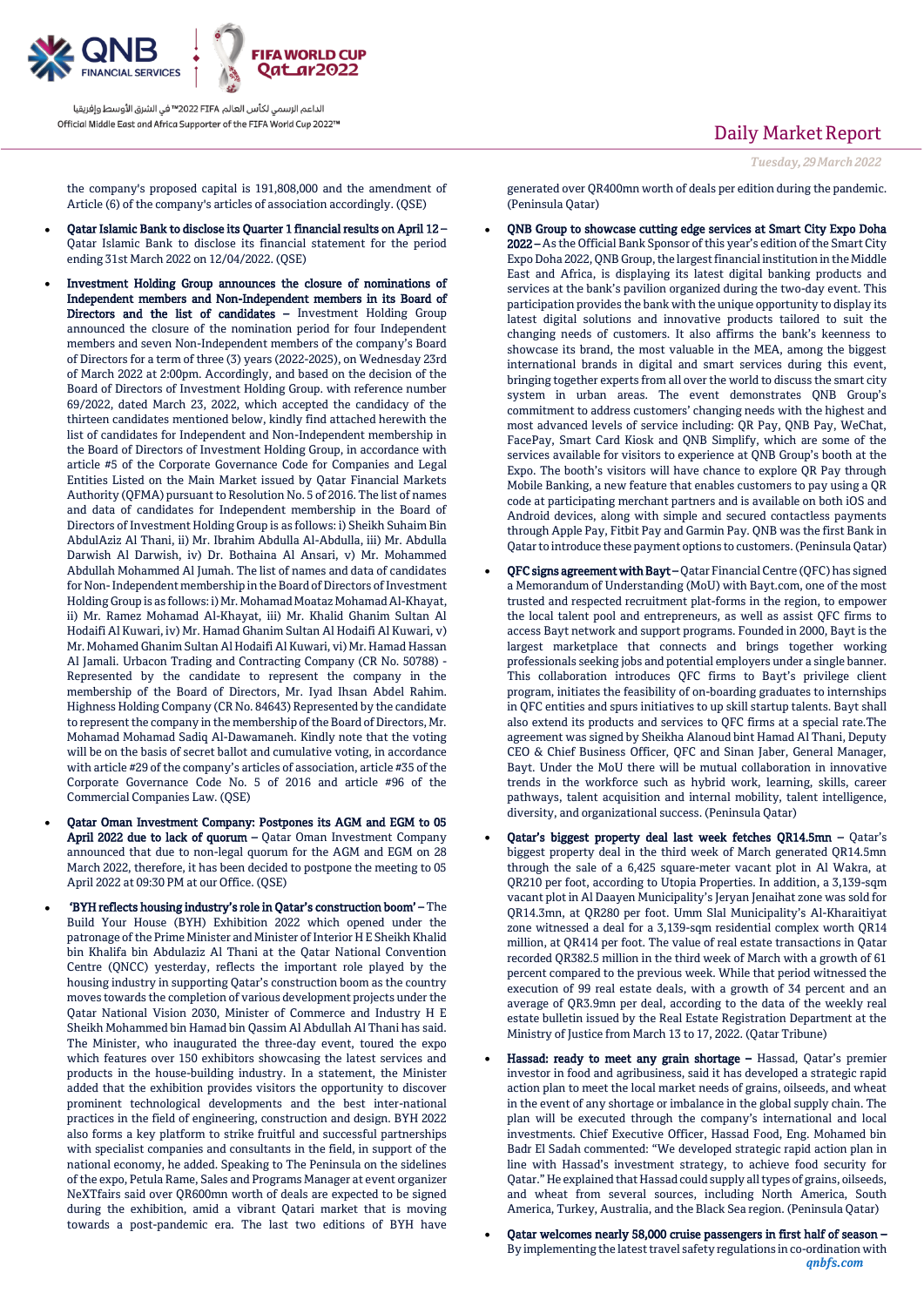

the company's proposed capital is 191,808,000 and the amendment of Article (6) of the company's articles of association accordingly. (QSE)

- Qatar Islamic Bank to disclose its Quarter 1 financial results on April 12 Qatar Islamic Bank to disclose its financial statement for the period ending 31st March 2022 on 12/04/2022. (QSE)
- Investment Holding Group announces the closure of nominations of Independent members and Non-Independent members in its Board of Directors and the list of candidates – Investment Holding Group announced the closure of the nomination period for four Independent members and seven Non-Independent members of the company's Board of Directors for a term of three (3) years (2022-2025), on Wednesday 23rd of March 2022 at 2:00pm. Accordingly, and based on the decision of the Board of Directors of Investment Holding Group. with reference number 69/2022, dated March 23, 2022, which accepted the candidacy of the thirteen candidates mentioned below, kindly find attached herewith the list of candidates for Independent and Non-Independent membership in the Board of Directors of Investment Holding Group, in accordance with article #5 of the Corporate Governance Code for Companies and Legal Entities Listed on the Main Market issued by Qatar Financial Markets Authority (QFMA) pursuant to Resolution No. 5 of 2016. The list of names and data of candidates for Independent membership in the Board of Directors of Investment Holding Group is as follows: i) Sheikh Suhaim Bin AbdulAziz Al Thani, ii) Mr. Ibrahim Abdulla Al-Abdulla, iii) Mr. Abdulla Darwish Al Darwish, iv) Dr. Bothaina Al Ansari, v) Mr. Mohammed Abdullah Mohammed Al Jumah. The list of names and data of candidates for Non-Independent membership in the Board of Directors of Investment Holding Group is as follows: i) Mr. Mohamad Moataz Mohamad Al-Khayat, ii) Mr. Ramez Mohamad Al-Khayat, iii) Mr. Khalid Ghanim Sultan Al Hodaifi Al Kuwari, iv) Mr. Hamad Ghanim Sultan Al Hodaifi Al Kuwari, v) Mr. Mohamed Ghanim Sultan Al Hodaifi Al Kuwari, vi) Mr. Hamad Hassan Al Jamali. Urbacon Trading and Contracting Company (CR No. 50788) - Represented by the candidate to represent the company in the membership of the Board of Directors, Mr. Iyad Ihsan Abdel Rahim. Highness Holding Company (CR No. 84643) Represented by the candidate to represent the company in the membership of the Board of Directors, Mr. Mohamad Mohamad Sadiq Al-Dawamaneh. Kindly note that the voting will be on the basis of secret ballot and cumulative voting, in accordance with article #29 of the company's articles of association, article #35 of the Corporate Governance Code No. 5 of 2016 and article #96 of the Commercial Companies Law. (QSE)
- Qatar Oman Investment Company: Postpones its AGM and EGM to 05 April 2022 due to lack of quorum - Qatar Oman Investment Company announced that due to non-legal quorum for the AGM and EGM on 28 March 2022, therefore, it has been decided to postpone the meeting to 05 April 2022 at 09:30 PM at our Office. (QSE)
- 'BYH reflects housing industry's role in Qatar's construction boom' The Build Your House (BYH) Exhibition 2022 which opened under the patronage of the Prime Minister and Minister of Interior H E Sheikh Khalid bin Khalifa bin Abdulaziz Al Thani at the Qatar National Convention Centre (QNCC) yesterday, reflects the important role played by the housing industry in supporting Qatar's construction boom as the country moves towards the completion of various development projects under the Qatar National Vision 2030, Minister of Commerce and Industry H E Sheikh Mohammed bin Hamad bin Qassim Al Abdullah Al Thani has said. The Minister, who inaugurated the three-day event, toured the expo which features over 150 exhibitors showcasing the latest services and products in the house-building industry. In a statement, the Minister added that the exhibition provides visitors the opportunity to discover prominent technological developments and the best inter-national practices in the field of engineering, construction and design. BYH 2022 also forms a key platform to strike fruitful and successful partnerships with specialist companies and consultants in the field, in support of the national economy, he added. Speaking to The Peninsula on the sidelines of the expo, Petula Rame, Sales and Programs Manager at event organizer NeXTfairs said over QR600mn worth of deals are expected to be signed during the exhibition, amid a vibrant Qatari market that is moving towards a post-pandemic era. The last two editions of BYH have

## Daily Market Report

generated over QR400mn worth of deals per edition during the pandemic. (Peninsula Qatar)

- QNB Group to showcase cutting edge services at Smart City Expo Doha 2022 – As the Official Bank Sponsor of this year's edition of the Smart City Expo Doha 2022, QNB Group, the largest financial institution in the Middle East and Africa, is displaying its latest digital banking products and services at the bank's pavilion organized during the two-day event. This participation provides the bank with the unique opportunity to display its latest digital solutions and innovative products tailored to suit the changing needs of customers. It also affirms the bank's keenness to showcase its brand, the most valuable in the MEA, among the biggest international brands in digital and smart services during this event, bringing together experts from all over the world to discuss the smart city system in urban areas. The event demonstrates QNB Group's commitment to address customers' changing needs with the highest and most advanced levels of service including: QR Pay, QNB Pay, WeChat, FacePay, Smart Card Kiosk and QNB Simplify, which are some of the services available for visitors to experience at QNB Group's booth at the Expo. The booth's visitors will have chance to explore QR Pay through Mobile Banking, a new feature that enables customers to pay using a QR code at participating merchant partners and is available on both iOS and Android devices, along with simple and secured contactless payments through Apple Pay, Fitbit Pay and Garmin Pay. QNB was the first Bank in Qatar to introduce these payment options to customers. (Peninsula Qatar)
- QFC signs agreement with Bayt Qatar Financial Centre (QFC) has signed a Memorandum of Understanding (MoU) with Bayt.com, one of the most trusted and respected recruitment plat-forms in the region, to empower the local talent pool and entrepreneurs, as well as assist QFC firms to access Bayt network and support programs. Founded in 2000, Bayt is the largest marketplace that connects and brings together working professionals seeking jobs and potential employers under a single banner. This collaboration introduces QFC firms to Bayt's privilege client program, initiates the feasibility of on-boarding graduates to internships in QFC entities and spurs initiatives to up skill startup talents. Bayt shall also extend its products and services to QFC firms at a special rate.The agreement was signed by Sheikha Alanoud bint Hamad Al Thani, Deputy CEO & Chief Business Officer, QFC and Sinan Jaber, General Manager, Bayt. Under the MoU there will be mutual collaboration in innovative trends in the workforce such as hybrid work, learning, skills, career pathways, talent acquisition and internal mobility, talent intelligence, diversity, and organizational success. (Peninsula Qatar)
- Qatar's biggest property deal last week fetches QR14.5mn Qatar's biggest property deal in the third week of March generated QR14.5mn through the sale of a 6,425 square-meter vacant plot in Al Wakra, at QR210 per foot, according to Utopia Properties. In addition, a 3,139-sqm vacant plot in Al Daayen Municipality's Jeryan Jenaihat zone was sold for QR14.3mn, at QR280 per foot. Umm Slal Municipality's Al-Kharaitiyat zone witnessed a deal for a 3,139-sqm residential complex worth QR14 million, at QR414 per foot. The value of real estate transactions in Qatar recorded QR382.5 million in the third week of March with a growth of 61 percent compared to the previous week. While that period witnessed the execution of 99 real estate deals, with a growth of 34 percent and an average of QR3.9mn per deal, according to the data of the weekly real estate bulletin issued by the Real Estate Registration Department at the Ministry of Justice from March 13 to 17, 2022. (Qatar Tribune)
- Hassad: ready to meet any grain shortage Hassad, Qatar's premier investor in food and agribusiness, said it has developed a strategic rapid action plan to meet the local market needs of grains, oilseeds, and wheat in the event of any shortage or imbalance in the global supply chain. The plan will be executed through the company's international and local investments. Chief Executive Officer, Hassad Food, Eng. Mohamed bin Badr El Sadah commented: "We developed strategic rapid action plan in line with Hassad's investment strategy, to achieve food security for Qatar." He explained that Hassad could supply all types of grains, oilseeds, and wheat from several sources, including North America, South America, Turkey, Australia, and the Black Sea region. (Peninsula Qatar)
- *qnbfs.com* Qatar welcomes nearly 58,000 cruise passengers in first half of season – By implementing the latest travel safety regulations in co-ordination with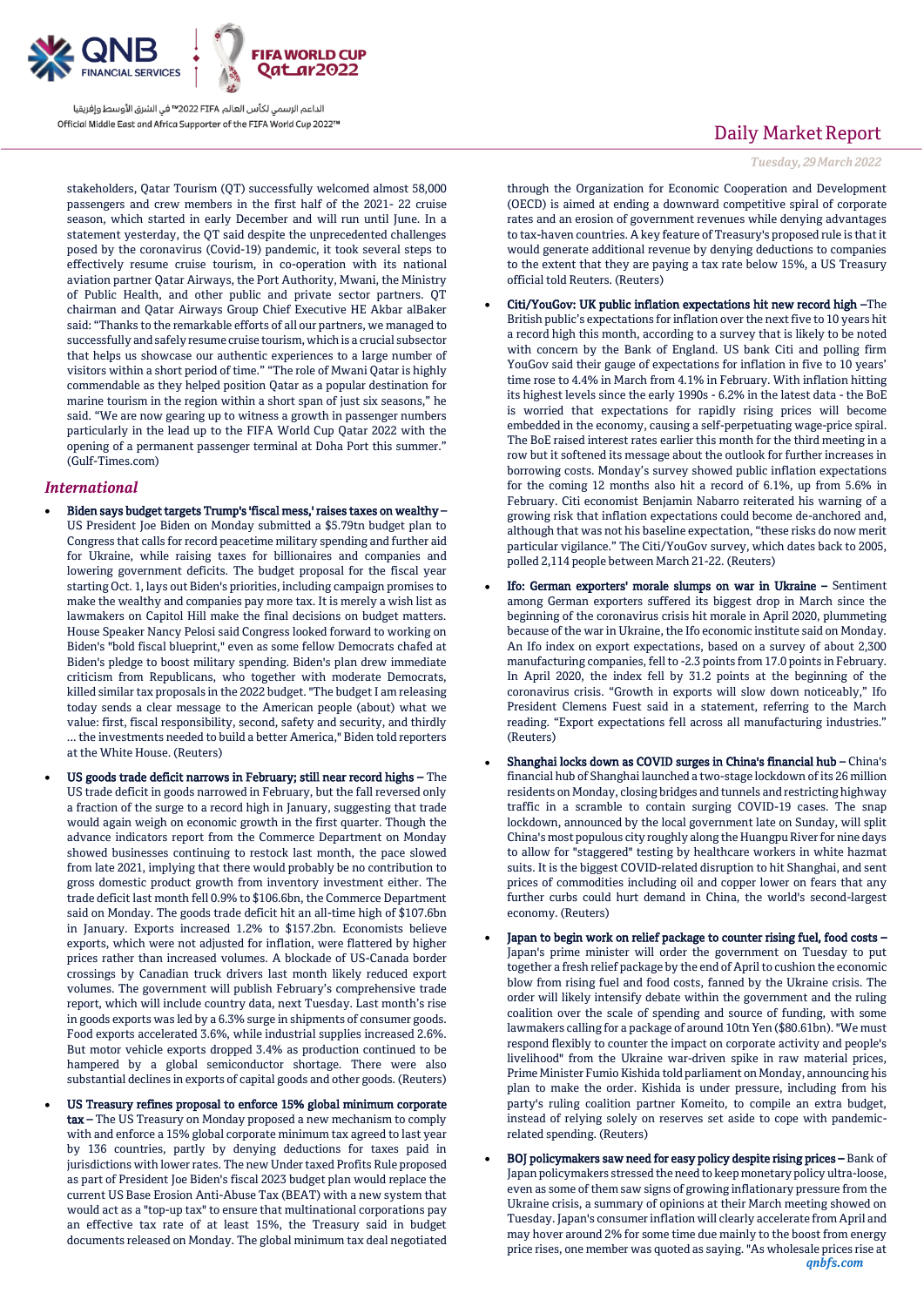

stakeholders, Qatar Tourism (QT) successfully welcomed almost 58,000 passengers and crew members in the first half of the 2021- 22 cruise season, which started in early December and will run until June. In a statement yesterday, the QT said despite the unprecedented challenges posed by the coronavirus (Covid-19) pandemic, it took several steps to effectively resume cruise tourism, in co-operation with its national aviation partner Qatar Airways, the Port Authority, Mwani, the Ministry of Public Health, and other public and private sector partners. QT chairman and Qatar Airways Group Chief Executive HE Akbar alBaker said: "Thanks to the remarkable efforts of all our partners, we managed to successfully and safely resume cruise tourism, which is a crucial subsector that helps us showcase our authentic experiences to a large number of visitors within a short period of time." "The role of Mwani Qatar is highly commendable as they helped position Qatar as a popular destination for marine tourism in the region within a short span of just six seasons," he said. "We are now gearing up to witness a growth in passenger numbers particularly in the lead up to the FIFA World Cup Qatar 2022 with the opening of a permanent passenger terminal at Doha Port this summer." (Gulf-Times.com)

### *International*

- Biden says budget targets Trump's 'fiscal mess,' raises taxes on wealthy US President Joe Biden on Monday submitted a \$5.79tn budget plan to Congress that calls for record peacetime military spending and further aid for Ukraine, while raising taxes for billionaires and companies and lowering government deficits. The budget proposal for the fiscal year starting Oct. 1, lays out Biden's priorities, including campaign promises to make the wealthy and companies pay more tax. It is merely a wish list as lawmakers on Capitol Hill make the final decisions on budget matters. House Speaker Nancy Pelosi said Congress looked forward to working on Biden's "bold fiscal blueprint," even as some fellow Democrats chafed at Biden's pledge to boost military spending. Biden's plan drew immediate criticism from Republicans, who together with moderate Democrats, killed similar tax proposals in the 2022 budget. "The budget I am releasing today sends a clear message to the American people (about) what we value: first, fiscal responsibility, second, safety and security, and thirdly ... the investments needed to build a better America," Biden told reporters at the White House. (Reuters)
- US goods trade deficit narrows in February; still near record highs The US trade deficit in goods narrowed in February, but the fall reversed only a fraction of the surge to a record high in January, suggesting that trade would again weigh on economic growth in the first quarter. Though the advance indicators report from the Commerce Department on Monday showed businesses continuing to restock last month, the pace slowed from late 2021, implying that there would probably be no contribution to gross domestic product growth from inventory investment either. The trade deficit last month fell 0.9% to \$106.6bn, the Commerce Department said on Monday. The goods trade deficit hit an all-time high of \$107.6bn in January. Exports increased 1.2% to \$157.2bn. Economists believe exports, which were not adjusted for inflation, were flattered by higher prices rather than increased volumes. A blockade of US-Canada border crossings by Canadian truck drivers last month likely reduced export volumes. The government will publish February's comprehensive trade report, which will include country data, next Tuesday. Last month's rise in goods exports was led by a 6.3% surge in shipments of consumer goods. Food exports accelerated 3.6%, while industrial supplies increased 2.6%. But motor vehicle exports dropped 3.4% as production continued to be hampered by a global semiconductor shortage. There were also substantial declines in exports of capital goods and other goods. (Reuters)
- US Treasury refines proposal to enforce 15% global minimum corporate tax – The US Treasury on Monday proposed a new mechanism to comply with and enforce a 15% global corporate minimum tax agreed to last year by 136 countries, partly by denying deductions for taxes paid in jurisdictions with lower rates. The new Under taxed Profits Rule proposed as part of President Joe Biden's fiscal 2023 budget plan would replace the current US Base Erosion Anti-Abuse Tax (BEAT) with a new system that would act as a "top-up tax" to ensure that multinational corporations pay an effective tax rate of at least 15%, the Treasury said in budget documents released on Monday. The global minimum tax deal negotiated

## Daily Market Report

*Tuesday, 29March2022*

through the Organization for Economic Cooperation and Development (OECD) is aimed at ending a downward competitive spiral of corporate rates and an erosion of government revenues while denying advantages to tax-haven countries. A key feature of Treasury's proposed rule is that it would generate additional revenue by denying deductions to companies to the extent that they are paying a tax rate below 15%, a US Treasury official told Reuters. (Reuters)

- Citi/YouGov: UK public inflation expectations hit new record high –The British public's expectations for inflation over the next five to 10 years hit a record high this month, according to a survey that is likely to be noted with concern by the Bank of England. US bank Citi and polling firm YouGov said their gauge of expectations for inflation in five to 10 years' time rose to 4.4% in March from 4.1% in February. With inflation hitting its highest levels since the early 1990s - 6.2% in the latest data - the BoE is worried that expectations for rapidly rising prices will become embedded in the economy, causing a self-perpetuating wage-price spiral. The BoE raised interest rates earlier this month for the third meeting in a row but it softened its message about the outlook for further increases in borrowing costs. Monday's survey showed public inflation expectations for the coming 12 months also hit a record of 6.1%, up from 5.6% in February. Citi economist Benjamin Nabarro reiterated his warning of a growing risk that inflation expectations could become de-anchored and, although that was not his baseline expectation, "these risks do now merit particular vigilance." The Citi/YouGov survey, which dates back to 2005, polled 2,114 people between March 21-22. (Reuters)
- Ifo: German exporters' morale slumps on war in Ukraine Sentiment among German exporters suffered its biggest drop in March since the beginning of the coronavirus crisis hit morale in April 2020, plummeting because of the war in Ukraine, the Ifo economic institute said on Monday. An Ifo index on export expectations, based on a survey of about 2,300 manufacturing companies, fell to -2.3 points from 17.0 points in February. In April 2020, the index fell by 31.2 points at the beginning of the coronavirus crisis. "Growth in exports will slow down noticeably," Ifo President Clemens Fuest said in a statement, referring to the March reading. "Export expectations fell across all manufacturing industries." (Reuters)
- Shanghai locks down as COVID surges in China's financial hub China's financial hub of Shanghai launched a two-stage lockdown of its 26 million residents on Monday, closing bridges and tunnels and restricting highway traffic in a scramble to contain surging COVID-19 cases. The snap lockdown, announced by the local government late on Sunday, will split China's most populous city roughly along the Huangpu River for nine days to allow for "staggered" testing by healthcare workers in white hazmat suits. It is the biggest COVID-related disruption to hit Shanghai, and sent prices of commodities including oil and copper lower on fears that any further curbs could hurt demand in China, the world's second-largest economy. (Reuters)
- Japan to begin work on relief package to counter rising fuel, food costs Japan's prime minister will order the government on Tuesday to put together a fresh relief package by the end of April to cushion the economic blow from rising fuel and food costs, fanned by the Ukraine crisis. The order will likely intensify debate within the government and the ruling coalition over the scale of spending and source of funding, with some lawmakers calling for a package of around 10tn Yen (\$80.61bn). "We must respond flexibly to counter the impact on corporate activity and people's livelihood" from the Ukraine war-driven spike in raw material prices, Prime Minister Fumio Kishida told parliament on Monday, announcing his plan to make the order. Kishida is under pressure, including from his party's ruling coalition partner Komeito, to compile an extra budget, instead of relying solely on reserves set aside to cope with pandemicrelated spending. (Reuters)
- *qnbfs.com* BOJ policymakers saw need for easy policy despite rising prices – Bank of Japan policymakers stressed the need to keep monetary policy ultra-loose, even as some of them saw signs of growing inflationary pressure from the Ukraine crisis, a summary of opinions at their March meeting showed on Tuesday. Japan's consumer inflation will clearly accelerate from April and may hover around 2% for some time due mainly to the boost from energy price rises, one member was quoted as saying. "As wholesale prices rise at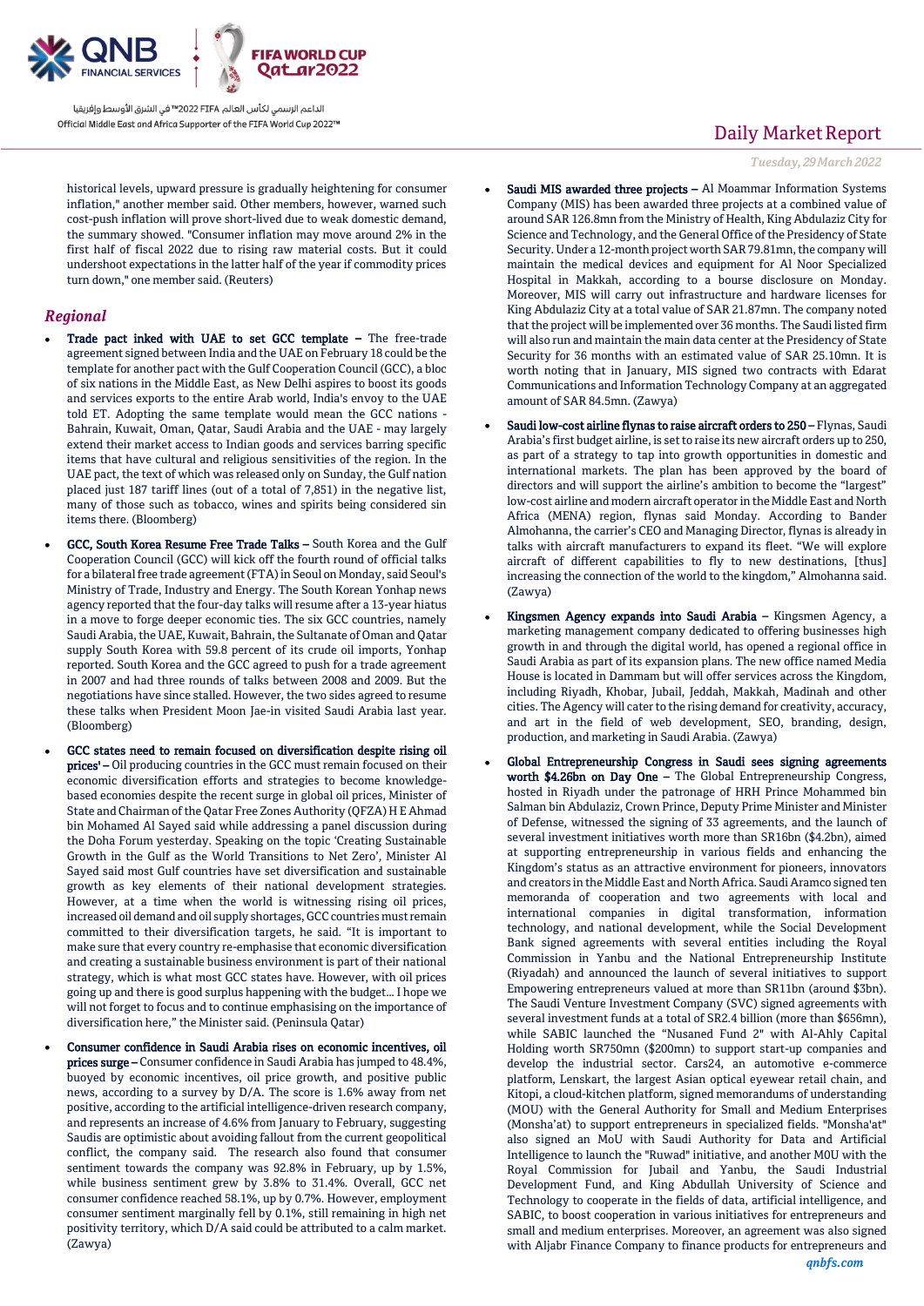

historical levels, upward pressure is gradually heightening for consumer inflation," another member said. Other members, however, warned such cost-push inflation will prove short-lived due to weak domestic demand, the summary showed. "Consumer inflation may move around 2% in the first half of fiscal 2022 due to rising raw material costs. But it could undershoot expectations in the latter half of the year if commodity prices turn down," one member said. (Reuters)

### *Regional*

- Trade pact inked with UAE to set GCC template The free-trade agreement signed between India and the UAE on February 18 could be the template for another pact with the Gulf Cooperation Council (GCC), a bloc of six nations in the Middle East, as New Delhi aspires to boost its goods and services exports to the entire Arab world, India's envoy to the UAE told ET. Adopting the same template would mean the GCC nations - Bahrain, Kuwait, Oman, Qatar, Saudi Arabia and the UAE - may largely extend their market access to Indian goods and services barring specific items that have cultural and religious sensitivities of the region. In the UAE pact, the text of which was released only on Sunday, the Gulf nation placed just 187 tariff lines (out of a total of 7,851) in the negative list, many of those such as tobacco, wines and spirits being considered sin items there. (Bloomberg)
- GCC, South Korea Resume Free Trade Talks South Korea and the Gulf Cooperation Council (GCC) will kick off the fourth round of official talks for a bilateral free trade agreement (FTA) in Seoul on Monday, said Seoul's Ministry of Trade, Industry and Energy. The South Korean Yonhap news agency reported that the four-day talks will resume after a 13-year hiatus in a move to forge deeper economic ties. The six GCC countries, namely Saudi Arabia, the UAE, Kuwait, Bahrain, the Sultanate of Oman and Qatar supply South Korea with 59.8 percent of its crude oil imports, Yonhap reported. South Korea and the GCC agreed to push for a trade agreement in 2007 and had three rounds of talks between 2008 and 2009. But the negotiations have since stalled. However, the two sides agreed to resume these talks when President Moon Jae-in visited Saudi Arabia last year. (Bloomberg)
- GCC states need to remain focused on diversification despite rising oil prices' – Oil producing countries in the GCC must remain focused on their economic diversification efforts and strategies to become knowledgebased economies despite the recent surge in global oil prices, Minister of State and Chairman of the Qatar Free Zones Authority (QFZA) H E Ahmad bin Mohamed Al Sayed said while addressing a panel discussion during the Doha Forum yesterday. Speaking on the topic 'Creating Sustainable Growth in the Gulf as the World Transitions to Net Zero', Minister Al Sayed said most Gulf countries have set diversification and sustainable growth as key elements of their national development strategies. However, at a time when the world is witnessing rising oil prices, increased oil demand and oil supply shortages, GCC countries must remain committed to their diversification targets, he said. "It is important to make sure that every country re-emphasise that economic diversification and creating a sustainable business environment is part of their national strategy, which is what most GCC states have. However, with oil prices going up and there is good surplus happening with the budget… I hope we will not forget to focus and to continue emphasising on the importance of diversification here," the Minister said. (Peninsula Qatar)
- Consumer confidence in Saudi Arabia rises on economic incentives, oil prices surge – Consumer confidence in Saudi Arabia has jumped to 48.4%, buoyed by economic incentives, oil price growth, and positive public news, according to a survey by D/A. The score is 1.6% away from net positive, according to the artificial intelligence-driven research company, and represents an increase of 4.6% from January to February, suggesting Saudis are optimistic about avoiding fallout from the current geopolitical conflict, the company said. The research also found that consumer sentiment towards the company was 92.8% in February, up by 1.5%, while business sentiment grew by 3.8% to 31.4%. Overall, GCC net consumer confidence reached 58.1%, up by 0.7%. However, employment consumer sentiment marginally fell by 0.1%, still remaining in high net positivity territory, which D/A said could be attributed to a calm market. (Zawya)

## Daily Market Report

*Tuesday, 29March2022*

- Saudi MIS awarded three projects Al Moammar Information Systems Company (MIS) has been awarded three projects at a combined value of around SAR 126.8mn from the Ministry of Health, King Abdulaziz City for Science and Technology, and the General Office of the Presidency of State Security. Under a 12-month project worth SAR 79.81mn, the company will maintain the medical devices and equipment for Al Noor Specialized Hospital in Makkah, according to a bourse disclosure on Monday. Moreover, MIS will carry out infrastructure and hardware licenses for King Abdulaziz City at a total value of SAR 21.87mn. The company noted that the project will be implemented over 36 months. The Saudi listed firm will also run and maintain the main data center at the Presidency of State Security for 36 months with an estimated value of SAR 25.10mn. It is worth noting that in January, MIS signed two contracts with Edarat Communications and Information Technology Company at an aggregated amount of SAR 84.5mn. (Zawya)
- Saudi low-cost airline flynas to raise aircraft orders to 250 Flynas, Saudi Arabia's first budget airline, is set to raise its new aircraft orders up to 250, as part of a strategy to tap into growth opportunities in domestic and international markets. The plan has been approved by the board of directors and will support the airline's ambition to become the "largest" low-cost airline and modern aircraft operator in the Middle East and North Africa (MENA) region, flynas said Monday. According to Bander Almohanna, the carrier's CEO and Managing Director, flynas is already in talks with aircraft manufacturers to expand its fleet. "We will explore aircraft of different capabilities to fly to new destinations, [thus] increasing the connection of the world to the kingdom," Almohanna said. (Zawya)
- Kingsmen Agency expands into Saudi Arabia Kingsmen Agency, a marketing management company dedicated to offering businesses high growth in and through the digital world, has opened a regional office in Saudi Arabia as part of its expansion plans. The new office named Media House is located in Dammam but will offer services across the Kingdom, including Riyadh, Khobar, Jubail, Jeddah, Makkah, Madinah and other cities. The Agency will cater to the rising demand for creativity, accuracy, and art in the field of web development, SEO, branding, design, production, and marketing in Saudi Arabia. (Zawya)
- Global Entrepreneurship Congress in Saudi sees signing agreements worth \$4.26bn on Day One – The Global Entrepreneurship Congress, hosted in Riyadh under the patronage of HRH Prince Mohammed bin Salman bin Abdulaziz, Crown Prince, Deputy Prime Minister and Minister of Defense, witnessed the signing of 33 agreements, and the launch of several investment initiatives worth more than SR16bn (\$4.2bn), aimed at supporting entrepreneurship in various fields and enhancing the Kingdom's status as an attractive environment for pioneers, innovators and creators in the Middle East and North Africa. Saudi Aramco signed ten memoranda of cooperation and two agreements with local and international companies in digital transformation, information technology, and national development, while the Social Development Bank signed agreements with several entities including the Royal Commission in Yanbu and the National Entrepreneurship Institute (Riyadah) and announced the launch of several initiatives to support Empowering entrepreneurs valued at more than SR11bn (around \$3bn). The Saudi Venture Investment Company (SVC) signed agreements with several investment funds at a total of SR2.4 billion (more than \$656mn), while SABIC launched the "Nusaned Fund 2" with Al-Ahly Capital Holding worth SR750mn (\$200mn) to support start-up companies and develop the industrial sector. Cars24, an automotive e-commerce platform, Lenskart, the largest Asian optical eyewear retail chain, and Kitopi, a cloud-kitchen platform, signed memorandums of understanding (MOU) with the General Authority for Small and Medium Enterprises (Monsha'at) to support entrepreneurs in specialized fields. "Monsha'at" also signed an MoU with Saudi Authority for Data and Artificial Intelligence to launch the "Ruwad" initiative, and another M0U with the Royal Commission for Jubail and Yanbu, the Saudi Industrial Development Fund, and King Abdullah University of Science and Technology to cooperate in the fields of data, artificial intelligence, and SABIC, to boost cooperation in various initiatives for entrepreneurs and small and medium enterprises. Moreover, an agreement was also signed with Aljabr Finance Company to finance products for entrepreneurs and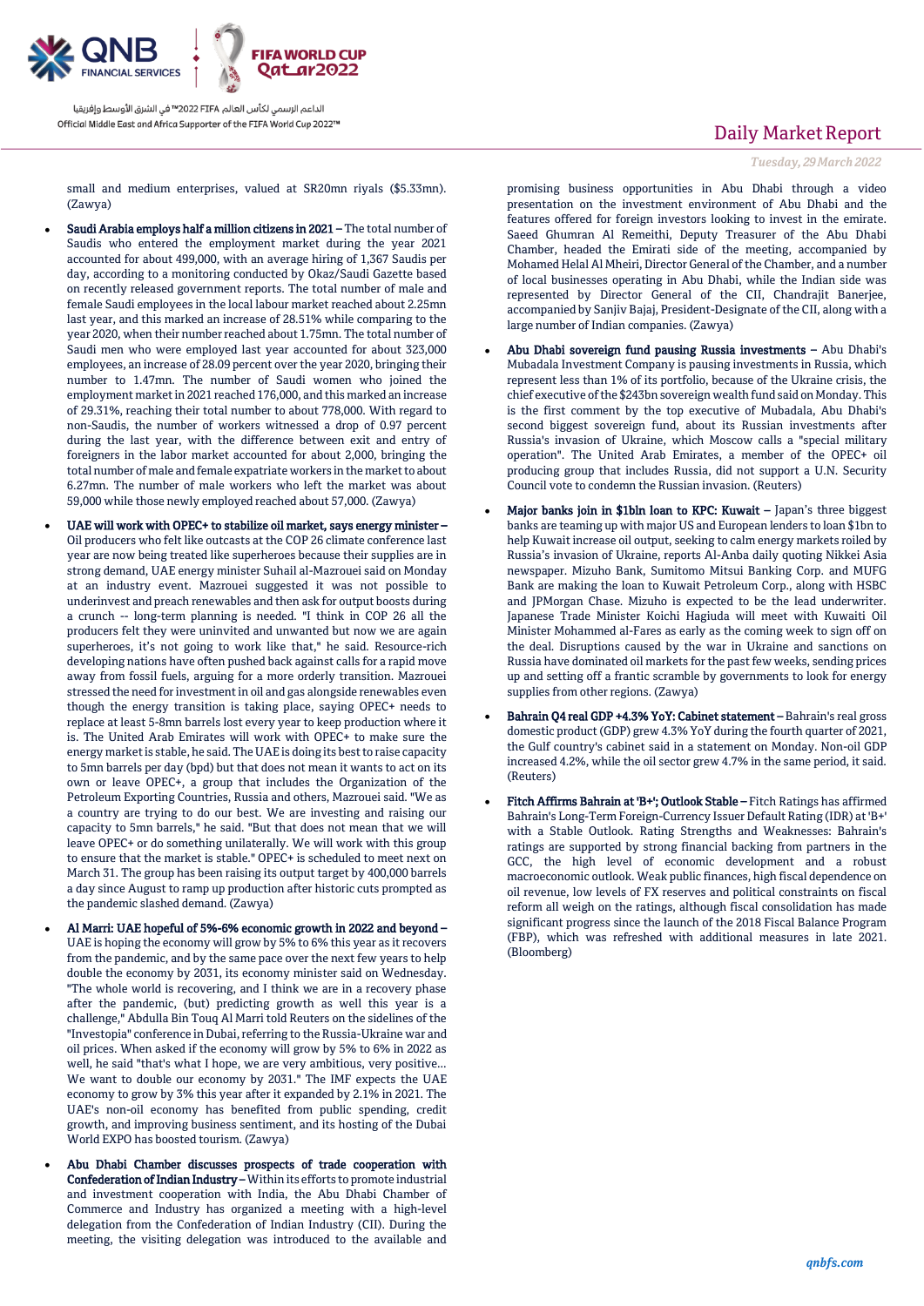

small and medium enterprises, valued at SR20mn riyals (\$5.33mn). (Zawya)

- Saudi Arabia employs half a million citizens in 2021 The total number of Saudis who entered the employment market during the year 2021 accounted for about 499,000, with an average hiring of 1,367 Saudis per day, according to a monitoring conducted by Okaz/Saudi Gazette based on recently released government reports. The total number of male and female Saudi employees in the local labour market reached about 2.25mn last year, and this marked an increase of 28.51% while comparing to the year 2020, when their number reached about 1.75mn. The total number of Saudi men who were employed last year accounted for about 323,000 employees, an increase of 28.09 percent over the year 2020, bringing their number to 1.47mn. The number of Saudi women who joined the employment market in 2021 reached 176,000, and this marked an increase of 29.31%, reaching their total number to about 778,000. With regard to non-Saudis, the number of workers witnessed a drop of 0.97 percent during the last year, with the difference between exit and entry of foreigners in the labor market accounted for about 2,000, bringing the total number of male and female expatriate workers in the market to about 6.27mn. The number of male workers who left the market was about 59,000 while those newly employed reached about 57,000. (Zawya)
- UAE will work with OPEC+ to stabilize oil market, says energy minister Oil producers who felt like outcasts at the COP 26 climate conference last year are now being treated like superheroes because their supplies are in strong demand, UAE energy minister Suhail al-Mazrouei said on Monday at an industry event. Mazrouei suggested it was not possible to underinvest and preach renewables and then ask for output boosts during a crunch -- long-term planning is needed. "I think in COP 26 all the producers felt they were uninvited and unwanted but now we are again superheroes, it's not going to work like that," he said. Resource-rich developing nations have often pushed back against calls for a rapid move away from fossil fuels, arguing for a more orderly transition. Mazrouei stressed the need for investment in oil and gas alongside renewables even though the energy transition is taking place, saying OPEC+ needs to replace at least 5-8mn barrels lost every year to keep production where it is. The United Arab Emirates will work with OPEC+ to make sure the energy market is stable, he said. The UAE is doing its best to raise capacity to 5mn barrels per day (bpd) but that does not mean it wants to act on its own or leave OPEC+, a group that includes the Organization of the Petroleum Exporting Countries, Russia and others, Mazrouei said. "We as a country are trying to do our best. We are investing and raising our capacity to 5mn barrels," he said. "But that does not mean that we will leave OPEC+ or do something unilaterally. We will work with this group to ensure that the market is stable." OPEC+ is scheduled to meet next on March 31. The group has been raising its output target by 400,000 barrels a day since August to ramp up production after historic cuts prompted as the pandemic slashed demand. (Zawya)
- Al Marri: UAE hopeful of 5%-6% economic growth in 2022 and beyond UAE is hoping the economy will grow by 5% to 6% this year as it recovers from the pandemic, and by the same pace over the next few years to help double the economy by 2031, its economy minister said on Wednesday. "The whole world is recovering, and I think we are in a recovery phase after the pandemic, (but) predicting growth as well this year is a challenge," Abdulla Bin Touq Al Marri told Reuters on the sidelines of the "Investopia" conference in Dubai, referring to the Russia-Ukraine war and oil prices. When asked if the economy will grow by 5% to 6% in 2022 as well, he said "that's what I hope, we are very ambitious, very positive... We want to double our economy by 2031." The IMF expects the UAE economy to grow by 3% this year after it expanded by 2.1% in 2021. The UAE's non-oil economy has benefited from public spending, credit growth, and improving business sentiment, and its hosting of the Dubai World EXPO has boosted tourism. (Zawya)
- Abu Dhabi Chamber discusses prospects of trade cooperation with Confederation of Indian Industry –Within its efforts to promote industrial and investment cooperation with India, the Abu Dhabi Chamber of Commerce and Industry has organized a meeting with a high-level delegation from the Confederation of Indian Industry (CII). During the meeting, the visiting delegation was introduced to the available and

## Daily Market Report

*Tuesday, 29March2022*

promising business opportunities in Abu Dhabi through a video presentation on the investment environment of Abu Dhabi and the features offered for foreign investors looking to invest in the emirate. Saeed Ghumran Al Remeithi, Deputy Treasurer of the Abu Dhabi Chamber, headed the Emirati side of the meeting, accompanied by Mohamed Helal Al Mheiri, Director General of the Chamber, and a number of local businesses operating in Abu Dhabi, while the Indian side was represented by Director General of the CII, Chandrajit Banerjee, accompanied by Sanjiv Bajaj, President-Designate of the CII, along with a large number of Indian companies. (Zawya)

- Abu Dhabi sovereign fund pausing Russia investments Abu Dhabi's Mubadala Investment Company is pausing investments in Russia, which represent less than 1% of its portfolio, because of the Ukraine crisis, the chief executive of the \$243bn sovereign wealth fund said on Monday. This is the first comment by the top executive of Mubadala, Abu Dhabi's second biggest sovereign fund, about its Russian investments after Russia's invasion of Ukraine, which Moscow calls a "special military operation". The United Arab Emirates, a member of the OPEC+ oil producing group that includes Russia, did not support a U.N. Security Council vote to condemn the Russian invasion. (Reuters)
- Major banks join in \$1bln loan to KPC: Kuwait Japan's three biggest banks are teaming up with major US and European lenders to loan \$1bn to help Kuwait increase oil output, seeking to calm energy markets roiled by Russia's invasion of Ukraine, reports Al-Anba daily quoting Nikkei Asia newspaper. Mizuho Bank, Sumitomo Mitsui Banking Corp. and MUFG Bank are making the loan to Kuwait Petroleum Corp., along with HSBC and JPMorgan Chase. Mizuho is expected to be the lead underwriter. Japanese Trade Minister Koichi Hagiuda will meet with Kuwaiti Oil Minister Mohammed al-Fares as early as the coming week to sign off on the deal. Disruptions caused by the war in Ukraine and sanctions on Russia have dominated oil markets for the past few weeks, sending prices up and setting off a frantic scramble by governments to look for energy supplies from other regions. (Zawya)
- Bahrain Q4 real GDP +4.3% YoY: Cabinet statement Bahrain's real gross domestic product (GDP) grew 4.3% YoY during the fourth quarter of 2021, the Gulf country's cabinet said in a statement on Monday. Non-oil GDP increased 4.2%, while the oil sector grew 4.7% in the same period, it said. (Reuters)
- Fitch Affirms Bahrain at 'B+'; Outlook Stable Fitch Ratings has affirmed Bahrain's Long-Term Foreign-Currency Issuer Default Rating (IDR) at 'B+' with a Stable Outlook. Rating Strengths and Weaknesses: Bahrain's ratings are supported by strong financial backing from partners in the GCC, the high level of economic development and a robust macroeconomic outlook. Weak public finances, high fiscal dependence on oil revenue, low levels of FX reserves and political constraints on fiscal reform all weigh on the ratings, although fiscal consolidation has made significant progress since the launch of the 2018 Fiscal Balance Program (FBP), which was refreshed with additional measures in late 2021. (Bloomberg)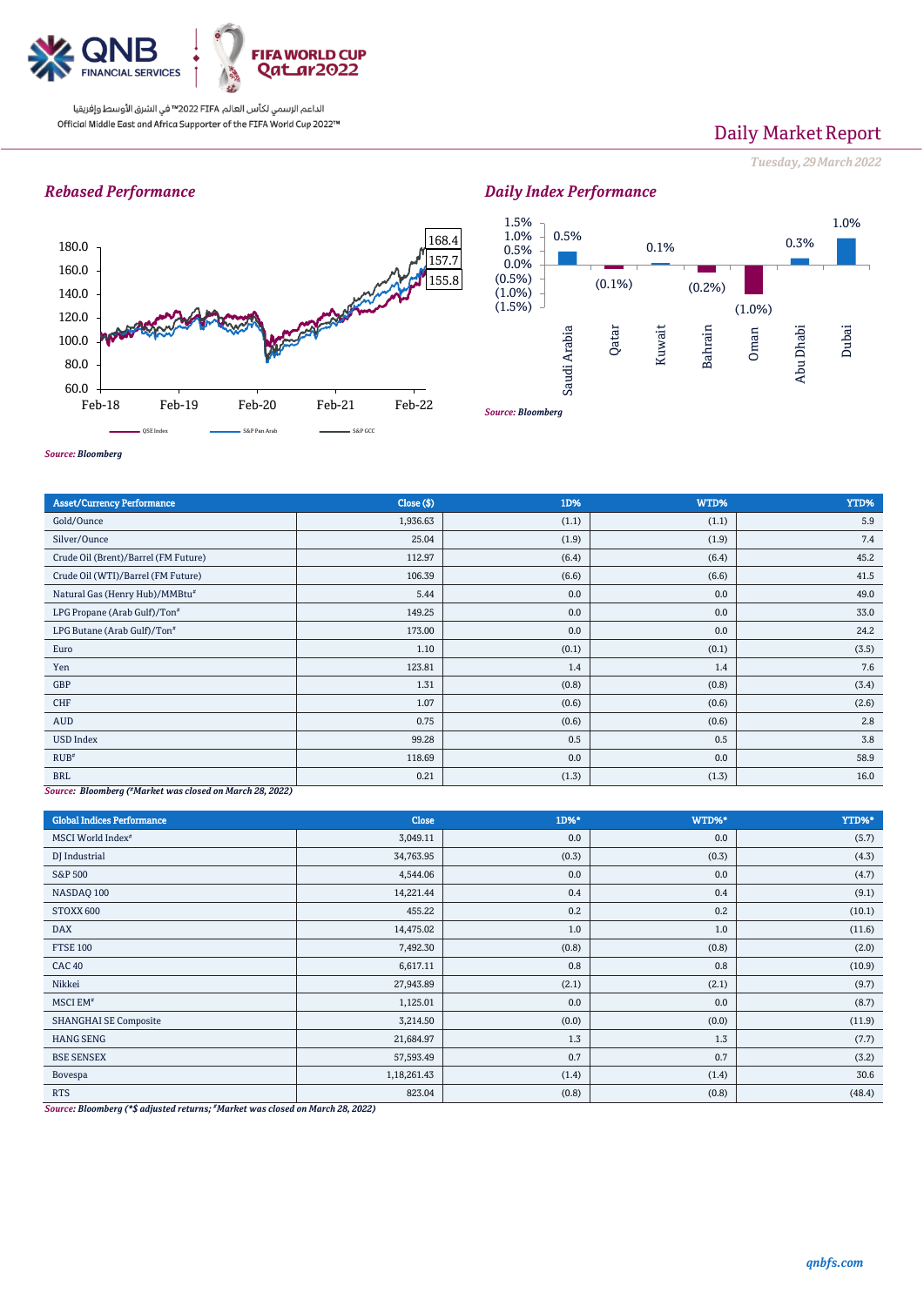

# Daily Market Report

*Tuesday, 29March2022*

## *Rebased Performance*







### *Source: Bloomberg*

| <b>Asset/Currency Performance</b>                        | Close (\$) | 1D%   | WTD%  | YTD%  |  |
|----------------------------------------------------------|------------|-------|-------|-------|--|
| Gold/Ounce                                               | 1,936.63   | (1.1) | (1.1) | 5.9   |  |
| Silver/Ounce                                             | 25.04      | (1.9) | (1.9) | 7.4   |  |
| Crude Oil (Brent)/Barrel (FM Future)                     | 112.97     | (6.4) | (6.4) | 45.2  |  |
| Crude Oil (WTI)/Barrel (FM Future)                       | 106.39     | (6.6) | (6.6) | 41.5  |  |
| Natural Gas (Henry Hub)/MMBtu#                           | 5.44       | 0.0   | 0.0   | 49.0  |  |
| LPG Propane (Arab Gulf)/Ton <sup>#</sup>                 | 149.25     | 0.0   | 0.0   | 33.0  |  |
| LPG Butane (Arab Gulf)/Ton#                              | 173.00     | 0.0   | 0.0   | 24.2  |  |
| Euro                                                     | 1.10       | (0.1) | (0.1) | (3.5) |  |
| Yen                                                      | 123.81     | 1.4   | 1.4   | 7.6   |  |
| GBP                                                      | 1.31       | (0.8) | (0.8) | (3.4) |  |
| CHF                                                      | 1.07       | (0.6) | (0.6) | (2.6) |  |
| AUD                                                      | 0.75       | (0.6) | (0.6) | 2.8   |  |
| <b>USD Index</b>                                         | 99.28      | 0.5   | 0.5   | 3.8   |  |
| RUB <sup><i>u</i></sup>                                  | 118.69     | 0.0   | 0.0   | 58.9  |  |
| <b>BRL</b>                                               | 0.21       | (1.3) | (1.3) | 16.0  |  |
| Source: Bloomberg (#Marbet was closed on March 28, 2022) |            |       |       |       |  |

*Source: Bloomberg ( #Market was closed on March 28, 2022)*

| <b>Global Indices Performance</b> | <b>Close</b> | 1D%*  | WTD%* | YTD%*  |
|-----------------------------------|--------------|-------|-------|--------|
| MSCI World Index <sup>#</sup>     | 3,049.11     | 0.0   | 0.0   | (5.7)  |
| DJ Industrial                     | 34,763.95    | (0.3) | (0.3) | (4.3)  |
| S&P 500                           | 4,544.06     | 0.0   | 0.0   | (4.7)  |
| NASDAQ 100                        | 14,221.44    | 0.4   | 0.4   | (9.1)  |
| STOXX 600                         | 455.22       | 0.2   | 0.2   | (10.1) |
| <b>DAX</b>                        | 14,475.02    | 1.0   | 1.0   | (11.6) |
| <b>FTSE 100</b>                   | 7,492.30     | (0.8) | (0.8) | (2.0)  |
| <b>CAC 40</b>                     | 6,617.11     | 0.8   | 0.8   | (10.9) |
| Nikkei                            | 27,943.89    | (2.1) | (2.1) | (9.7)  |
| MSCI EM <sup>#</sup>              | 1,125.01     | 0.0   | 0.0   | (8.7)  |
| <b>SHANGHAI SE Composite</b>      | 3,214.50     | (0.0) | (0.0) | (11.9) |
| <b>HANG SENG</b>                  | 21,684.97    | 1.3   | 1.3   | (7.7)  |
| <b>BSE SENSEX</b>                 | 57,593.49    | 0.7   | 0.7   | (3.2)  |
| Bovespa                           | 1,18,261.43  | (1.4) | (1.4) | 30.6   |
| <b>RTS</b>                        | 823.04       | (0.8) | (0.8) | (48.4) |

*Source: Bloomberg (\*\$ adjusted returns; #Market was closed on March 28, 2022)*